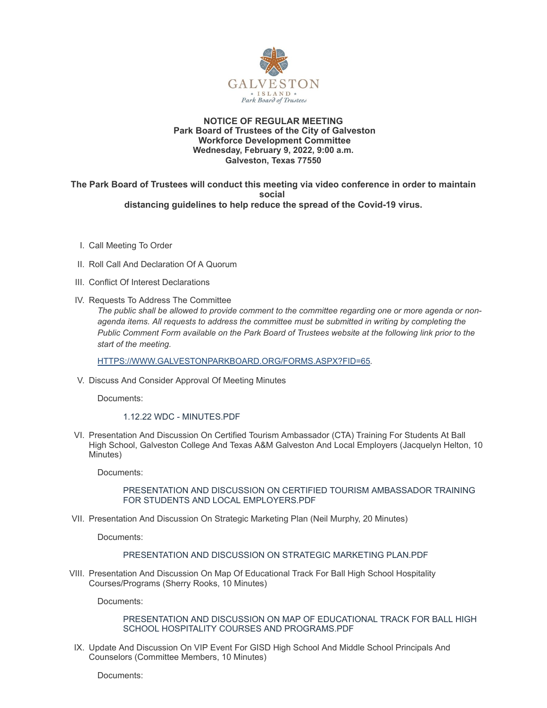

## **NOTICE OF REGULAR MEETING Park Board of Trustees of the City of Galveston Workforce Development Committee Wednesday, February 9, 2022, 9:00 a.m. Galveston, Texas 77550**

**The Park Board of Trustees will conduct this meeting via video conference in order to maintain social distancing guidelines to help reduce the spread of the Covid-19 virus.**

- I. Call Meeting To Order
- II. Roll Call And Declaration Of A Quorum
- III. Conflict Of Interest Declarations
- IV. Requests To Address The Committee

*The public shall be allowed to provide comment to the committee regarding one or more agenda or nonagenda items. All requests to address the committee must be submitted in writing by completing the Public Comment Form available on the Park Board of Trustees website at the following link prior to the start of the meeting.*

[HTTPS://WWW.GALVESTONPARKBOARD.ORG/FORMS.ASPX?FID=65](https://www.galvestonparkboard.org/forms.aspx?FID=65)*.*

V. Discuss And Consider Approval Of Meeting Minutes

Documents:

1.12.22 WDC - [MINUTES.PDF](https://www.galvestonparkboard.org/AgendaCenter/ViewFile/Item/7311?fileID=10722)

VI. Presentation And Discussion On Certified Tourism Ambassador (CTA) Training For Students At Ball High School, Galveston College And Texas A&M Galveston And Local Employers (Jacquelyn Helton, 10 Minutes)

Documents:

PRESENTATION AND DISCUSSION ON CERTIFIED TOURISM AMBASSADOR TRAINING FOR STUDENTS AND LOCAL [EMPLOYERS.PDF](https://www.galvestonparkboard.org/AgendaCenter/ViewFile/Item/7295?fileID=10719)

VII. Presentation And Discussion On Strategic Marketing Plan (Neil Murphy, 20 Minutes)

Documents:

## [PRESENTATION](https://www.galvestonparkboard.org/AgendaCenter/ViewFile/Item/7296?fileID=10714) AND DISCUSSION ON STRATEGIC MARKETING PLAN.PDF

VIII. Presentation And Discussion On Map Of Educational Track For Ball High School Hospitality Courses/Programs (Sherry Rooks, 10 Minutes)

Documents:

PRESENTATION AND DISCUSSION ON MAP OF EDUCATIONAL TRACK FOR BALL HIGH SCHOOL HOSPITALITY COURSES AND [PROGRAMS.PDF](https://www.galvestonparkboard.org/AgendaCenter/ViewFile/Item/7297?fileID=10718)

IX. Update And Discussion On VIP Event For GISD High School And Middle School Principals And Counselors (Committee Members, 10 Minutes)

Documents: